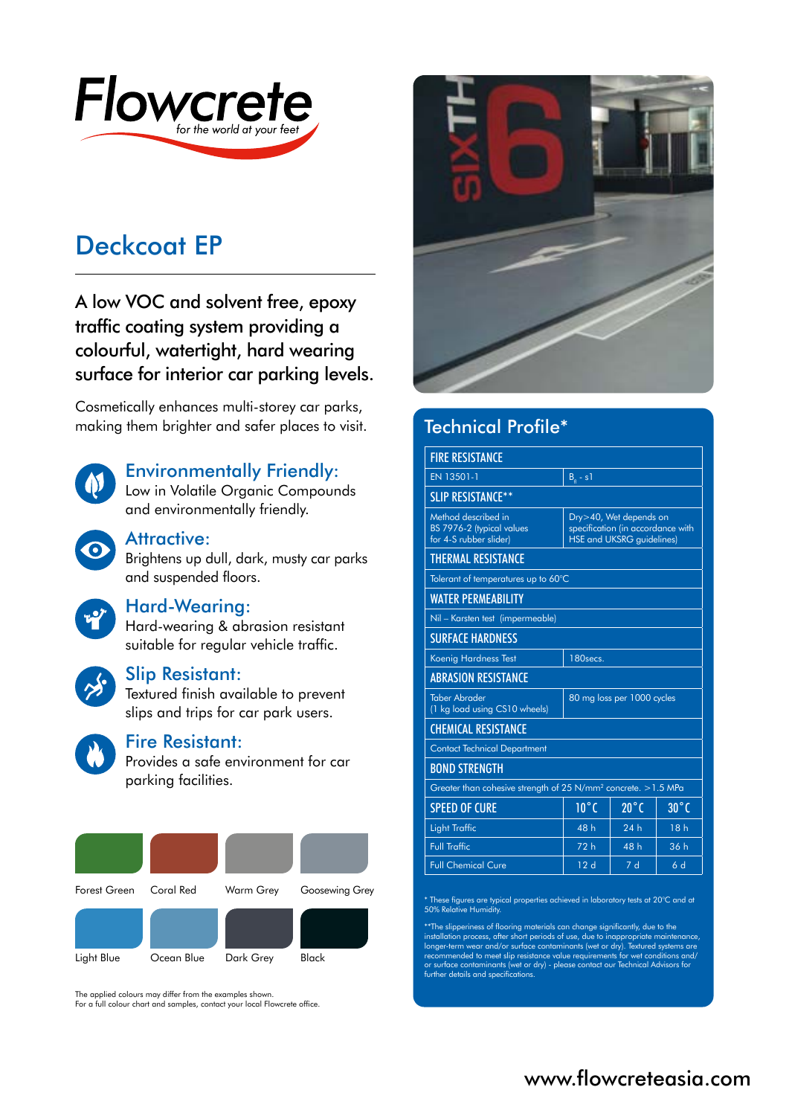

# Deckcoat EP

A low VOC and solvent free, epoxy traffic coating system providing a colourful, watertight, hard wearing surface for interior car parking levels.

Cosmetically enhances multi-storey car parks, making them brighter and safer places to visit.



# Environmentally Friendly:

Low in Volatile Organic Compounds and environmentally friendly.



## Attractive:

Brightens up dull, dark, musty car parks and suspended floors.

#### Hard-Wearing:

Hard-wearing & abrasion resistant suitable for regular vehicle traffic.



#### Slip Resistant:

Textured finish available to prevent slips and trips for car park users.



# Fire Resistant:

Provides a safe environment for car parking facilities.

| Forest Green | Coral Red  | Warm Grey | Goosewing Grey |
|--------------|------------|-----------|----------------|
|              |            |           |                |
| Light Blue   | Ocean Blue | Dark Grey | Black          |

The applied colours may differ from the examples shown.

For a full colour chart and samples, contact your local Flowcrete office.



| Technical Profile*                                                         |                            |                                                                                                 |                |  |  |
|----------------------------------------------------------------------------|----------------------------|-------------------------------------------------------------------------------------------------|----------------|--|--|
| <b>FIRE RESISTANCE</b>                                                     |                            |                                                                                                 |                |  |  |
| EN 13501-1                                                                 | $Ba - s1$                  |                                                                                                 |                |  |  |
| <b>SLIP RESISTANCE**</b>                                                   |                            |                                                                                                 |                |  |  |
| Method described in<br>BS 7976-2 (typical values<br>for 4-S rubber slider) |                            | Dry>40, Wet depends on<br>specification (in accordance with<br><b>HSE and UKSRG guidelines)</b> |                |  |  |
| <b>THERMAL RESISTANCE</b>                                                  |                            |                                                                                                 |                |  |  |
| Tolerant of temperatures up to 60°C                                        |                            |                                                                                                 |                |  |  |
| <b>WATER PERMEABILITY</b>                                                  |                            |                                                                                                 |                |  |  |
| Nil - Karsten test (impermeable)                                           |                            |                                                                                                 |                |  |  |
| <b>SURFACE HARDNESS</b>                                                    |                            |                                                                                                 |                |  |  |
| Koenig Hardness Test                                                       | 180secs.                   |                                                                                                 |                |  |  |
| <b>ABRASION RESISTANCE</b>                                                 |                            |                                                                                                 |                |  |  |
| <b>Taber Abrader</b><br>(1 kg load using CS10 wheels)                      | 80 mg loss per 1000 cycles |                                                                                                 |                |  |  |
| <b>CHEMICAL RESISTANCE</b>                                                 |                            |                                                                                                 |                |  |  |
| <b>Contact Technical Department</b>                                        |                            |                                                                                                 |                |  |  |
| <b>BOND STRENGTH</b>                                                       |                            |                                                                                                 |                |  |  |
| Greater than cohesive strength of 25 N/mm <sup>2</sup> concrete. > 1.5 MPa |                            |                                                                                                 |                |  |  |
| <b>SPEED OF CURE</b>                                                       | $10^{\circ}$ C             | $20^{\circ}$ C                                                                                  | $30^{\circ}$ C |  |  |
| <b>Light Traffic</b>                                                       | 48h                        | 24h                                                                                             | 18h            |  |  |
| <b>Full Traffic</b>                                                        | 72 h                       | 48 h                                                                                            | 36 h           |  |  |
| <b>Full Chemical Cure</b>                                                  | 12d                        | 7d                                                                                              | 6d             |  |  |

\* These figures are typical properties achieved in laboratory tests at 20°C and at 50% Relative Humidity.

\*\*The slipperiness of flooring materials can change significantly, due to the<br>installation process, after short periods of use, due to inappropriate maintenance,<br>longer-term wear and/or surface contaminants (wet or dry). T or surface contaminants (wet or dry) - please contact our Technical Advisors for further details and specifications.